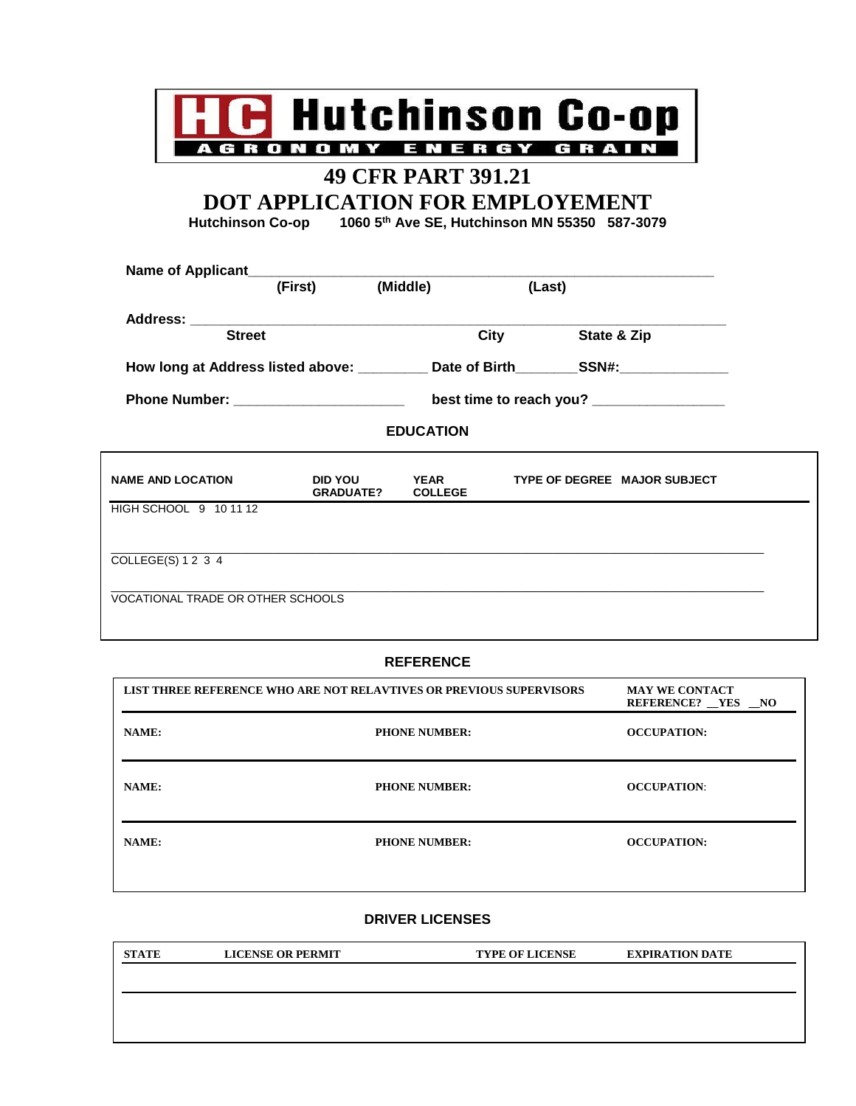

# **49 CFR PART 391.21**

**DOT APPLICATION FOR EMPLOYEMENT**

**Hutchinson Co-op 1060 5th Ave SE, Hutchinson MN 55350 587-3079**

|                                   | (First)                           | (Middle)         | (Last) |                                                                                         |
|-----------------------------------|-----------------------------------|------------------|--------|-----------------------------------------------------------------------------------------|
| <b>Street</b>                     |                                   | City             |        | State & Zip                                                                             |
|                                   |                                   |                  |        | How long at Address listed above: ___________ Date of Birth_________SSN#:______________ |
|                                   |                                   |                  |        | best time to reach you? _________________                                               |
|                                   |                                   | <b>EDUCATION</b> |        |                                                                                         |
| <b>NAME AND LOCATION</b>          | DID YOU YEAR<br>GRADUATE? COLLEGE |                  |        | TYPE OF DEGREE MAJOR SUBJECT                                                            |
| HIGH SCHOOL 9 10 11 12            |                                   |                  |        |                                                                                         |
| COLLEGE(S) 1 2 3 4                |                                   |                  |        |                                                                                         |
| VOCATIONAL TRADE OR OTHER SCHOOLS |                                   |                  |        |                                                                                         |

### **REFERENCE**

| LIST THREE REFERENCE WHO ARE NOT RELAVTIVES OR PREVIOUS SUPERVISORS |                      | <b>MAY WE CONTACT</b><br>REFERENCE? YES NO |
|---------------------------------------------------------------------|----------------------|--------------------------------------------|
| NAME:                                                               | <b>PHONE NUMBER:</b> | <b>OCCUPATION:</b>                         |
| NAME:                                                               | <b>PHONE NUMBER:</b> | <b>OCCUPATION:</b>                         |
| NAME:                                                               | <b>PHONE NUMBER:</b> | <b>OCCUPATION:</b>                         |

#### **DRIVER LICENSES**

| <b>STATE</b> | <b>LICENSE OR PERMIT</b> | <b>TYPE OF LICENSE</b> | <b>EXPIRATION DATE</b> |
|--------------|--------------------------|------------------------|------------------------|
|              |                          |                        |                        |
|              |                          |                        |                        |
|              |                          |                        |                        |
|              |                          |                        |                        |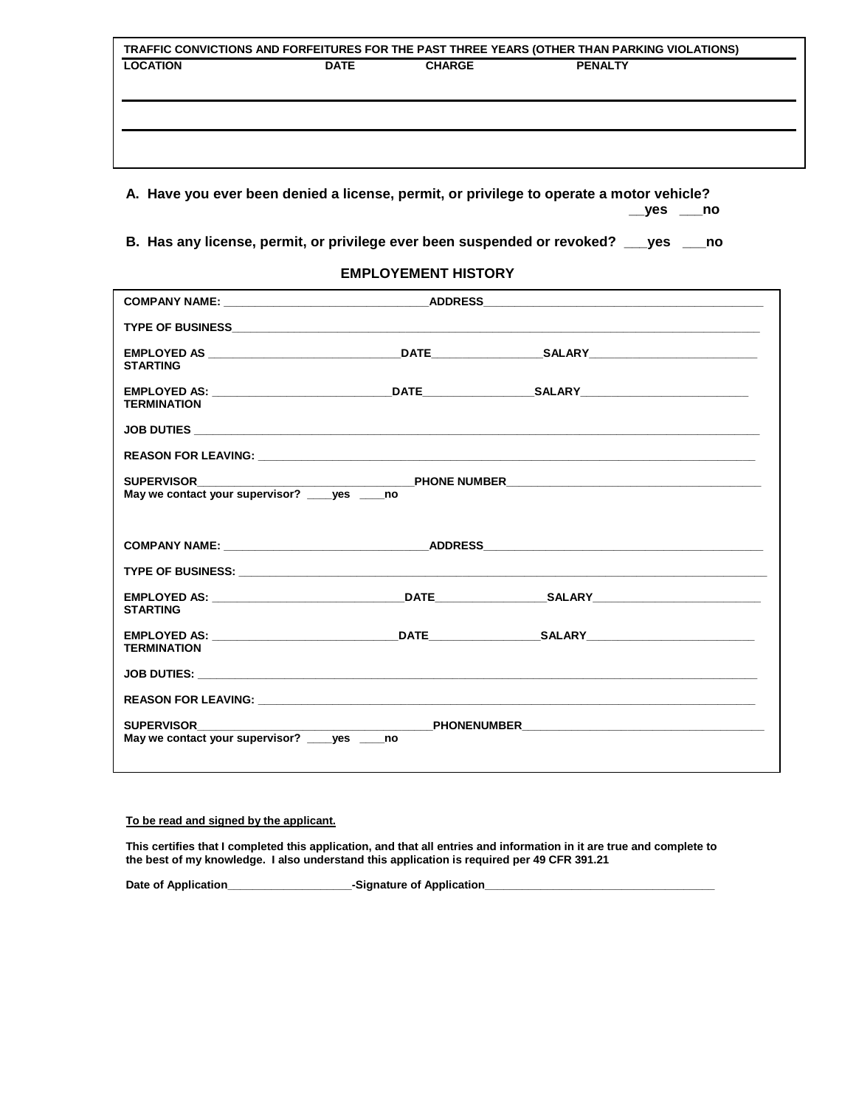|                 |             |               | TRAFFIC CONVICTIONS AND FORFEITURES FOR THE PAST THREE YEARS (OTHER THAN PARKING VIOLATIONS) |  |
|-----------------|-------------|---------------|----------------------------------------------------------------------------------------------|--|
| <b>LOCATION</b> | <b>DATE</b> | <b>CHARGE</b> | <b>PENALTY</b>                                                                               |  |
|                 |             |               |                                                                                              |  |
|                 |             |               |                                                                                              |  |
|                 |             |               |                                                                                              |  |
|                 |             |               |                                                                                              |  |
|                 |             |               |                                                                                              |  |

**A. Have you ever been denied a license, permit, or privilege to operate a motor vehicle? \_\_yes \_\_\_no**

**B. Has any license, permit, or privilege ever been suspended or revoked? \_\_\_yes \_\_\_no**

#### **EMPLOYEMENT HISTORY**

| COMPANY NAME: ___________________________________ADDRESS_________________________ |  |
|-----------------------------------------------------------------------------------|--|
|                                                                                   |  |
| <b>STARTING</b>                                                                   |  |
| <b>TERMINATION</b>                                                                |  |
|                                                                                   |  |
|                                                                                   |  |
|                                                                                   |  |
|                                                                                   |  |
|                                                                                   |  |
| <b>STARTING</b>                                                                   |  |
| <b>TERMINATION</b>                                                                |  |
|                                                                                   |  |
|                                                                                   |  |
| <b>SUPERVISOR</b><br>May we contact your supervisor? ves no                       |  |

#### **To be read and signed by the applicant.**

**This certifies that I completed this application, and that all entries and information in it are true and complete to the best of my knowledge. I also understand this application is required per 49 CFR 391.21**

**Date of Application\_\_\_\_\_\_\_\_\_\_\_\_\_\_\_\_\_\_\_\_-Signature of Application\_\_\_\_\_\_\_\_\_\_\_\_\_\_\_\_\_\_\_\_\_\_\_\_\_\_\_\_\_\_\_\_\_\_\_\_\_**